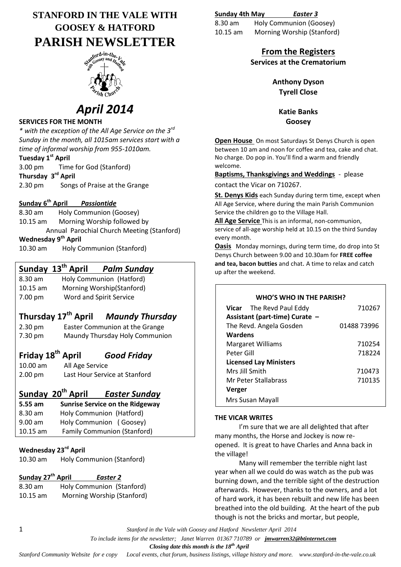# **STANFORD IN THE VALE WITH GOOSEY & HATFORD PARISH NEWSLETTER**



# *April 2014*

### **SERVICES FOR THE MONTH**

*\* with the exception of the All Age Service on the 3rd Sunday in the month, all 1015am services start with a time of informal worship from 955-1010am.*

#### **Tuesday 1st April**

3.00 pm Time for God (Stanford) **Thursday 3 rd April**

2.30 pm Songs of Praise at the Grange

### **Sunday 6 th April** *Passiontide*

8.30 am Holy Communion (Goosey) 10.15 am Morning Worship followed by Annual Parochial Church Meeting (Stanford)

#### **Wednesday 9th April**

10.30 am Holy Communion (Stanford)

### **Sunday 13th April** *Palm Sunday*

8.30 am Holy Communion (Hatford) 10.15 am Morning Worship(Stanford) 7.00 pm Word and Spirit Service

### **Thursday 17th April** *Maundy Thursday*

2.30 pm Easter Communion at the Grange 7.30 pm Maundy Thursday Holy Communion

## **Friday 18th April** *Good Friday*

10.00 am All Age Service 2.00 pm Last Hour Service at Stanford

### **Sunday 20th April** *Easter Sunday*

| 5.55 am           | <b>Sunrise Service on the Ridgeway</b> |  |  |
|-------------------|----------------------------------------|--|--|
| $8.30 \text{ am}$ | Holy Communion (Hatford)               |  |  |
| $9.00$ am         | Holy Communion (Goosey)                |  |  |
| $10.15$ am        | <b>Family Communion (Stanford)</b>     |  |  |

#### **Wednesday 23rd April**

| $10.30$ am | Holy Communion (Stanford) |
|------------|---------------------------|
|------------|---------------------------|

### **Sunday 27th April** *Easter 2*

| 8.30 am            | Holy Communion (Stanford)  |  |
|--------------------|----------------------------|--|
| $10.15 \text{ am}$ | Morning Worship (Stanford) |  |

#### **Sunday 4th May** *Easter 3*

8.30 am Holy Communion (Goosey) 10.15 am Morning Worship (Stanford)

# **From the Registers**

**Services at the Crematorium**

**Anthony Dyson Tyrell Close**

> **Katie Banks Goosey**

**Open House** On most Saturdays St Denys Church is open between 10 am and noon for coffee and tea, cake and chat. No charge. Do pop in. You'll find a warm and friendly welcome.

**Baptisms, Thanksgivings and Weddings** - please

contact the Vicar on 710267.

**St. Denys Kids** each Sunday during term time, except when All Age Service, where during the main Parish Communion Service the children go to the Village Hall.

**All Age Service** This is an informal, non-communion, service of all-age worship held at 10.15 on the third Sunday every month.

**Oasis** Monday mornings, during term time, do drop into St Denys Church between 9.00 and 10.30am for **FREE coffee and tea, bacon butties** and chat. A time to relax and catch up after the weekend.

#### **WHO'S WHO IN THE PARISH?**

|                         | Vicar The Revd Paul Eddy       | 710267      |
|-------------------------|--------------------------------|-------------|
|                         | Assistant (part-time) Curate - |             |
| The Revd. Angela Gosden |                                | 01488 73996 |
| Wardens                 |                                |             |
|                         | <b>Margaret Williams</b>       | 710254      |
| Peter Gill              |                                | 718224      |
|                         | <b>Licensed Lay Ministers</b>  |             |
|                         | Mrs Jill Smith                 | 710473      |
|                         | Mr Peter Stallabrass           | 710135      |
| Verger                  |                                |             |
|                         | Mrs Susan Mayall               |             |

#### **THE VICAR WRITES**

I'm sure that we are all delighted that after many months, the Horse and Jockey is now reopened. It is great to have Charles and Anna back in the village!

Many will remember the terrible night last year when all we could do was watch as the pub was burning down, and the terrible sight of the destruction afterwards. However, thanks to the owners, and a lot of hard work, it has been rebuilt and new life has been breathed into the old building. At the heart of the pub though is not the bricks and mortar, but people,

1 *Stanford in the Vale with Goosey and Hatford Newsletter April 2014*

 *To include items for the newsletter; Janet Warren 01367 710789 or jmwarren32@btinternet.com*

 *Closing date this month is the 18th April*

| Stanford in the Va |  |  |
|--------------------|--|--|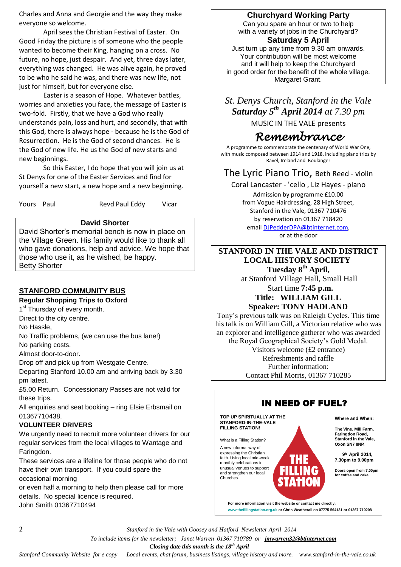Charles and Anna and Georgie and the way they make everyone so welcome.

April sees the Christian Festival of Easter. On Good Friday the picture is of someone who the people wanted to become their King, hanging on a cross. No future, no hope, just despair. And yet, three days later, everything was changed. He was alive again, he proved to be who he said he was, and there was new life, not just for himself, but for everyone else.

Easter is a season of Hope. Whatever battles, worries and anxieties you face, the message of Easter is two-fold. Firstly, that we have a God who really understands pain, loss and hurt, and secondly, that with this God, there is always hope - because he is the God of Resurrection. He is the God of second chances. He is the God of new life. He us the God of new starts and new beginnings.

So this Easter, I do hope that you will join us at St Denys for one of the Easter Services and find for yourself a new start, a new hope and a new beginning.

Yours Paul Revd Paul Eddy Vicar

### **David Shorter**

David Shorter's memorial bench is now in place on the Village Green. His family would like to thank all who gave donations, help and advice. We hope that those who use it, as he wished, be happy. Betty Shorter

### **STANFORD COMMUNITY BUS**

### **Regular Shopping Trips to Oxford**

1<sup>st</sup> Thursday of every month.

Direct to the city centre.

No Hassle,

No Traffic problems, (we can use the bus lane!)

No parking costs.

Almost door-to-door.

Drop off and pick up from Westgate Centre.

Departing Stanford 10.00 am and arriving back by 3.30 pm latest.

£5.00 Return. Concessionary Passes are not valid for these trips.

All enquiries and seat booking – ring Elsie Erbsmail on 01367710438.

### **VOLUNTEER DRIVERS**

We urgently need to recruit more volunteer drivers for our regular services from the local villages to Wantage and Faringdon.

These services are a lifeline for those people who do not have their own transport. If you could spare the occasional morning

or even half a morning to help then please call for more details. No special licence is required. John Smith 01367710494

### **Churchyard Working Party**

Can you spare an hour or two to help with a variety of jobs in the Churchyard?

### **Saturday 5 April**

Just turn up any time from 9.30 am onwards. Your contribution will be most welcome and it will help to keep the Churchyard in good order for the benefit of the whole village. Margaret Grant.

*St. Denys Church, Stanford in the Vale Saturday 5th April 2014 at 7.30 pm*

MUSIC IN THE VALE presents

# *Remembrance*

A programme to commemorate the centenary of World War One, with music composed between 1914 and 1918, including piano trios by Ravel, Ireland and Boulanger

### The Lyric Piano Trio, Beth Reed - violin

Coral Lancaster - 'cello , Liz Hayes - piano Admission by programme £10.00 from Vogue Hairdressing, 28 High Street, Stanford in the Vale, 01367 710476 by reservation on 01367 718420 email [DJPedderDPA@btinternet.com,](mailto:DJPedderDPA@btinternet.com)

or at the door

### **STANFORD IN THE VALE AND DISTRICT LOCAL HISTORY SOCIETY Tuesday 8 th April,** at Stanford Village Hall, Small Hall Start time **7:45 p.m. Title: WILLIAM GILL Speaker: TONY HADLAND**

Tony's previous talk was on Raleigh Cycles. This time his talk is on William Gill, a Victorian relative who was an explorer and intelligence gatherer who was awarded the Royal Geographical Society's Gold Medal. Visitors welcome (£2 entrance) Refreshments and raffle Further information: Contact Phil Morris, 01367 710285



**www.thefillingstation.org.uk or Chris Weatherall on 07775 564131 or 01367 710208** 

2 *Stanford in the Vale with Goosey and Hatford Newsletter April 2014*

 *To include items for the newsletter; Janet Warren 01367 710789 or jmwarren32@btinternet.com*

 *Closing date this month is the 18th April*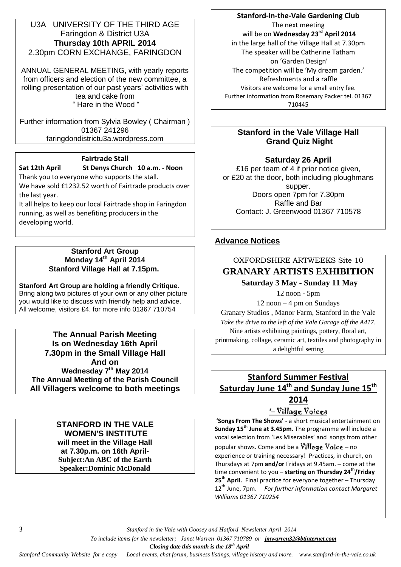### U3A UNIVERSITY OF THE THIRD AGE Faringdon & District U3A **Thursday 10th APRIL 2014** 2.30pm CORN EXCHANGE, FARINGDON

ANNUAL GENERAL MEETING, with yearly reports from officers and election of the new committee, a rolling presentation of our past years' activities with tea and cake from " Hare in the Wood "

Further information from Sylvia Bowley ( Chairman ) 01367 241296 faringdondistrictu3a.wordpress.com

### **Fairtrade Stall**

**Sat 12th April St Denys Church 10 a.m. - Noon**

Thank you to everyone who supports the stall. We have sold £1232.52 worth of Fairtrade products over the last year.

It all helps to keep our local Fairtrade shop in Faringdon running, as well as benefiting producers in the developing world.

### **Stanford Art Group Monday 14 th April 2014 Stanford Village Hall at 7.15pm.**

**Stanford Art Group are holding a friendly Critique**. Bring along two pictures of your own or any other picture you would like to discuss with friendly help and advice. All welcome, visitors £4. for more info 01367 710754

**The Annual Parish Meeting Is on Wednesday 16th April 7.30pm in the Small Village Hall And on Wednesday 7th May 2014 The Annual Meeting of the Parish Council All Villagers welcome to both meetings**

> **STANFORD IN THE VALE WOMEN'S INSTITUTE will meet in the Village Hall at 7.30p.m. on 16th April-Subject:An ABC of the Earth Speaker:Dominic McDonald**

**Stanford-in-the-Vale Gardening Club** The next meeting will be on **Wednesday 23rd April 2014** in the large hall of the Village Hall at 7.30pm The speaker will be Catherine Tatham on 'Garden Design' The competition will be 'My dream garden.' Refreshments and a raffle Visitors are welcome for a small entry fee. Further information from Rosemary Packer tel. 01367 710445

### **Stanford in the Vale Village Hall Grand Quiz Night**

### **Saturday 26 April**

£16 per team of 4 if prior notice given, or £20 at the door, both including ploughmans supper. Doors open 7pm for 7.30pm Raffle and Bar Contact: J. Greenwood 01367 710578

### **Advance Notices**

### OXFORDSHIRE ARTWEEKS Site 10

### **GRANARY ARTISTS EXHIBITION**

**Saturday 3 May - Sunday 11 May** 

12 noon - 5pm

12 noon – 4 pm on Sundays

Granary Studios , Manor Farm, Stanford in the Vale *Take the drive to the left of the Vale Garage off the A417.*  Nine artists exhibiting paintings, pottery, floral art, printmaking, collage, ceramic art, textiles and photography in a delightful setting

### **Stanford Summer Festival Saturday June 14th and Sunday June 15th 2014 '**– Village Voices

**'Songs From The Shows'** - a short musical entertainment on **Sunday 15th June at 3.45pm.** The programme will include a vocal selection from 'Les Miserables' and songs from other

popular shows. Come and be a  $V$ *illage*  $V$ *oice* – no experience or training necessary! Practices, in church, on Thursdays at 7pm **and/or** Fridays at 9.45am. – come at the time convenient to you – **starting on Thursday 24th/Friday 25th April.** Final practice for everyone together – Thursday 12th June, 7pm. *For further information contact Margaret Williams 01367 710254*

3 *Stanford in the Vale with Goosey and Hatford Newsletter April 2014*

 *To include items for the newsletter; Janet Warren 01367 710789 or jmwarren32@btinternet.com*

 *Closing date this month is the 18th April*